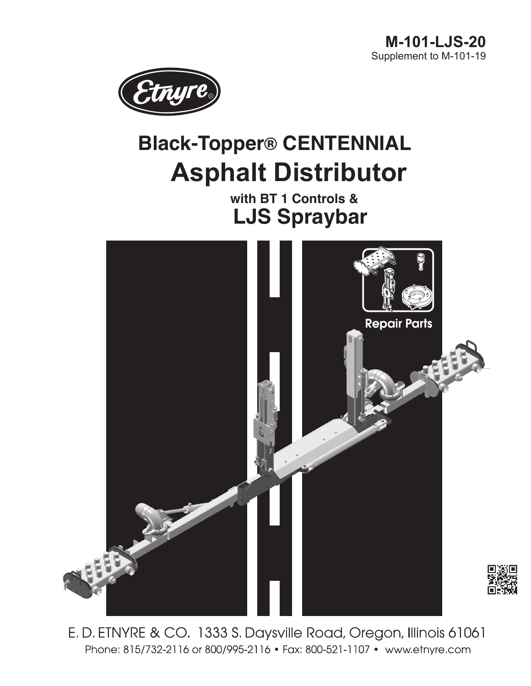

# **Black-Topper® CENTENNIAL Asphalt Distributor**

 **with BT 1 Controls & LJS Spraybar**



E.D. ETNYRE & CO. 1333 S. Daysville Road, Oregon, Illinois 61061 Phone: 815/732-2116 or 800/995-2116 • Fax: 800-521-1107 • www.etnyre.com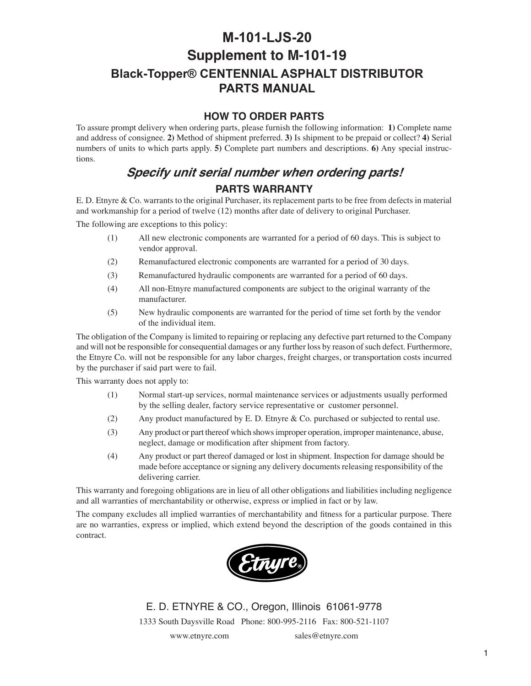# <span id="page-1-0"></span>**M-101-LJS-20 Supplement to M-101-19 Black-Topper® CENTENNIAL ASPHALT DISTRIBUTOR PARTS MANUAL**

#### **HOW TO ORDER PARTS**

To assure prompt delivery when ordering parts, please furnish the following information: **1)** Complete name and address of consignee. **2)** Method of shipment preferred. **3)** Is shipment to be prepaid or collect? **4)** Serial numbers of units to which parts apply. **5)** Complete part numbers and descriptions. **6)** Any special instructions.

## **Specify unit serial number when ordering parts! PARTS WARRANTY**

E. D. Etnyre & Co. warrants to the original Purchaser, its replacement parts to be free from defects in material and workmanship for a period of twelve (12) months after date of delivery to original Purchaser.

The following are exceptions to this policy:

- (1) All new electronic components are warranted for a period of 60 days. This is subject to vendor approval.
- (2) Remanufactured electronic components are warranted for a period of 30 days.
- (3) Remanufactured hydraulic components are warranted for a period of 60 days.
- (4) All non-Etnyre manufactured components are subject to the original warranty of the manufacturer.
- (5) New hydraulic components are warranted for the period of time set forth by the vendor of the individual item.

The obligation of the Company is limited to repairing or replacing any defective part returned to the Company and will not be responsible for consequential damages or any further loss by reason of such defect. Furthermore, the Etnyre Co. will not be responsible for any labor charges, freight charges, or transportation costs incurred by the purchaser if said part were to fail.

This warranty does not apply to:

- (1) Normal start-up services, normal maintenance services or adjustments usually performed by the selling dealer, factory service representative or customer personnel.
- (2) Any product manufactured by E. D. Etnyre & Co. purchased or subjected to rental use.
- (3) Any product or part thereof which shows improper operation, improper maintenance, abuse, neglect, damage or modification after shipment from factory.
- (4) Any product or part thereof damaged or lost in shipment. Inspection for damage should be made before acceptance or signing any delivery documents releasing responsibility of the delivering carrier.

This warranty and foregoing obligations are in lieu of all other obligations and liabilities including negligence and all warranties of merchantability or otherwise, express or implied in fact or by law.

The company excludes all implied warranties of merchantability and fitness for a particular purpose. There are no warranties, express or implied, which extend beyond the description of the goods contained in this contract.



E. D. ETNYRE & CO., Oregon, Illinois 61061-9778 1333 South Daysville Road Phone: 800-995-2116 Fax: 800-521-1107

www.etnyre.com sales@etnyre.com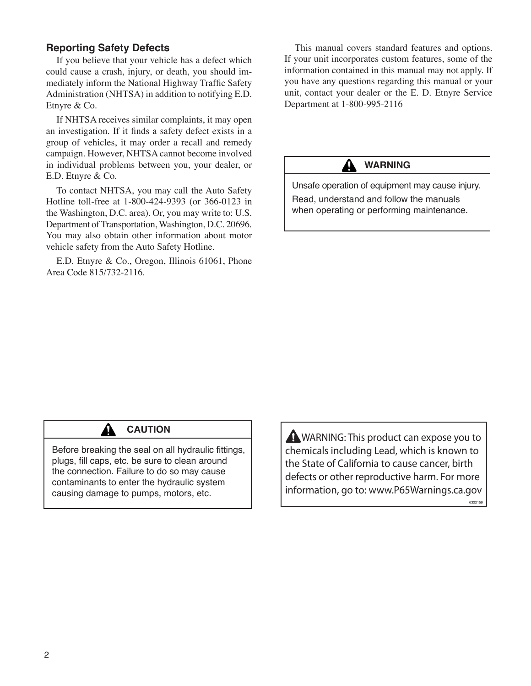#### <span id="page-2-0"></span>**Reporting Safety Defects**

If you believe that your vehicle has a defect which could cause a crash, injury, or death, you should immediately inform the National Highway Traffic Safety Administration (NHTSA) in addition to notifying E.D. Etnyre & Co.

If NHTSA receives similar complaints, it may open an investigation. If it finds a safety defect exists in a group of vehicles, it may order a recall and remedy campaign. However, NHTSA cannot become involved in individual problems between you, your dealer, or E.D. Etnyre & Co.

To contact NHTSA, you may call the Auto Safety Hotline toll-free at 1-800-424-9393 (or 366-0123 in the Washington, D.C. area). Or, you may write to: U.S. Department of Transportation, Washington, D.C. 20696. You may also obtain other information about motor vehicle safety from the Auto Safety Hotline.

E.D. Etnyre & Co., Oregon, Illinois 61061, Phone Area Code 815/732-2116.

This manual covers standard features and options. If your unit incorporates custom features, some of the information contained in this manual may not apply. If you have any questions regarding this manual or your unit, contact your dealer or the E. D. Etnyre Service Department at 1-800-995-2116

### **Warning**

Unsafe operation of equipment may cause injury. Read, understand and follow the manuals

when operating or performing maintenance.



### **CAUTION**

Before breaking the seal on all hydraulic fittings, plugs, fill caps, etc. be sure to clean around the connection. Failure to do so may cause contaminants to enter the hydraulic system causing damage to pumps, motors, etc.

**A** WARNING: This product can expose you to chemicals including Lead, which is known to the State of California to cause cancer, birth defects or other reproductive harm. For more information, go to: www.P65Warnings.ca.gov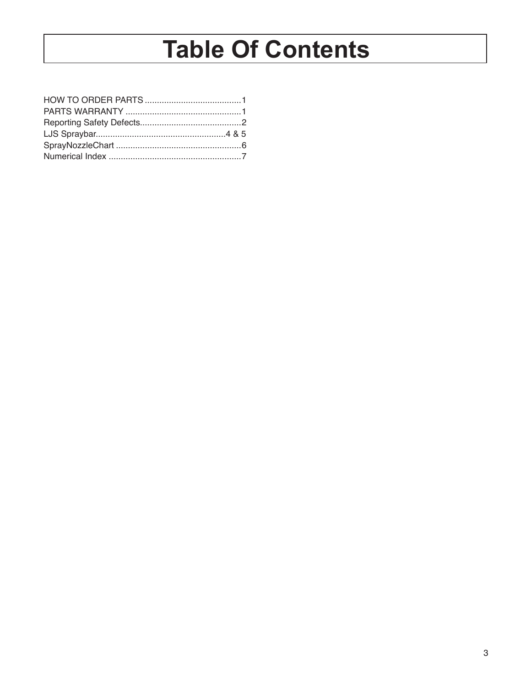# **Table Of Contents**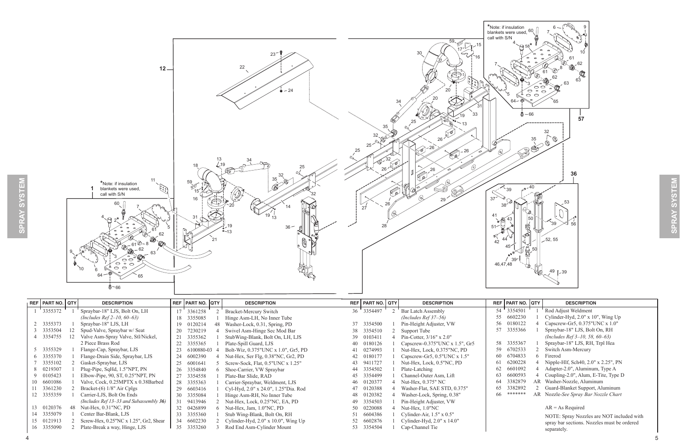

<span id="page-4-0"></span>

| REF   PART NO.   QTY |    | <b>DESCRIPTION</b>                         |    | REF   PART NO.   QTY | <b>DESCRIPTION</b>                         | REF   PART NO.   QTY | <b>DESCRIPTION</b>               |     | REF   PART NO. QTY | <b>DESCRIPTION</b>                          |
|----------------------|----|--------------------------------------------|----|----------------------|--------------------------------------------|----------------------|----------------------------------|-----|--------------------|---------------------------------------------|
| 3355372              |    | Spraybar-18" LJS, Bolt On, LH              |    | 17 3361258           | <b>Bracket-Mercury Switch</b>              | 36 3354497           | Bar Latch Assembly               |     | 54 3354501         | Rod Adjust Weldment                         |
|                      |    | (Includes Ref $2-10$ , 60-63)              |    | 18 3355085           | Hinge Asm-LH, No Inner Tube                |                      | (Includes Ref $37-56$ )          | 55  | 6602230            | Cylinder-Hyd, $2.0"$ x $10"$ , Wing Up      |
| 2 3355373            |    | Spraybar-18" LJS, LH                       | 19 | 0120214              | Washer-Lock, 0.31, Spring, PD              | 37 3354500           | Pin-Height Adjuster, VW          |     | 56 0180122         | Capscrew-Gr5, 0.375"UNC x 1.0"              |
| 3 3353504            | 12 | Spud-Valve, Spraybar w/ Seat               | 20 | 7230219              | Swivel Asm-Hinge Sec Mod Bar               | 38 3354510           | Support Tube                     | 57  | 3355366            | Spraybar-18" LJS, Bolt On, RH               |
| 4 3354755            |    | Valve Asm-Spray Valve, Stl/Nickel,         |    | 21 3355362           | StubWing-Blank, Bolt On, LH, LJS           | 39 0103411           | Pin-Cotter, $3/16$ " x $2.0$ "   |     |                    | (Includes Ref $3-10$ , 58, 60-63)           |
|                      |    | 2 Piece Brass Rod                          | 22 | 3355365              | Plate-Spill Guard, LJS                     | 40 0180126           | Capscrew-0.375"UNC $x$ 1.5", Gr5 |     | 58 3355367         | Spraybar-18" LJS, RH, Trpl Hea              |
| 5 3355329            |    | Flange-Cap, Spraybar, LJS                  | 23 | 6100880-03           | Bolt-Wiz, 0.375"UNC x 1.0", Gr5, PD        | 41 0274993           | Nut-Hex, Lock, 0.375"NC, PD      |     | 59 6702533         | Switch Asm-Mercury                          |
| 6 3355370            |    | Flange-Drain Side, Spraybar, LJS           |    | 24 6002390           | Nut-Hex, Ser Flg, 0.38"NC, Gr2, PD         | 42 0180177           | Capscrew-Gr5, 0.5"UNC x 1.5"     |     | 60 6704833         | 6 Firerod                                   |
| 3355102              |    | Gasket-Spraybar, LJS                       |    | 25 6001641           | Screw-Sock, Flat, 0.5"UNC x 1.25"          | 43 9411727           | Nut-Hex, Lock, 0.5"NC, PD        |     | 61 6200228         | Nipple-Hlf, Sch40, 2.0" x 2.25", PN         |
| 8 0219307            |    | Plug-Pipe, SqHd, 1.5"NPT, PN               |    | 26 3354840           | Shoe-Carrier, VW Spraybar                  | 44 3354502           | Plate-Latching                   |     | 62 6601092         | Adapter-2.0", Aluminum, Type A              |
| 9 0105423            |    | Elbow-Pipe, $90$ , ST, $0.25$ "NPT, PN     |    | 27 3354558           | Plate-Bar Slide, RAD                       | 45 3354499           | Channel-Outer Asm, Lift          | 63  | 6600593            | Coupling-2.0", Alum, E-Tite, Type D         |
| 10 6601086           |    | Valve, Cock, 0.25MPTX x 0.38Barbed         |    | 28 3355363           | Carrier-Spraybar, Weldment, LJS            | 46 0120377           | Nut-Hex, 0.375" NC               | 64  | 3382879            | AR Washer-Nozzle, Aluminum                  |
| 11 3361230           |    | Bracket- $(6)$ 1/8" Air Cplgs              |    | 29 6603416           | Cyl-Hyd, 2.0" x 24.0", 1.25"Dia. Rod       | 0120388              | Washer-Flat, SAE STD, 0.375"     |     | 65 3382892         | 2 Guard-Blanket Support, Aluminum           |
| 12 3355359           |    | Carrier-LJS, Bolt On Ends                  |    | 30 3355084           | Hinge Asm-RH, No Inner Tube                | 48 0120382           | Washer-Lock, Spring, 0.38"       | 66. | *******            | AR Nozzle-See Spray Bar Nozzle Chart        |
|                      |    | (Includes Ref 13–33 and Subassembly $36$ ) |    | 31 9413946           | Nut-Hex, Lock, 0.25"NC, EA, PD             | 49 3354503           | Pin-Height Adjuster, VW          |     |                    |                                             |
| 13 0120376           | 48 | Nut-Hex, $0.31$ "NC, PD                    |    | 32 0426899           | Nut-Hex, Jam, 1.0"NC, PD                   | 50 0220088           | Nut-Hex, $1.0$ "NC               |     |                    | $AR = As Required$                          |
| 14 3355079           |    | Center Bar-Blank, LJS                      | 33 | 3355360              | Stub Wing-Blank, Bolt On, RH               | 51 6604386           | Cylinder-Air, $1.5" \times 0.5"$ |     |                    | NOTE: Spray Nozzles are NOT included with   |
| 15 0121913           |    | Screw-Hex, 0.25"NC x 1.25", Gr2, Shear     |    | 34 6602230           | Cylinder-Hyd, $2.0''$ x $10.0''$ , Wing Up | 52 6602876           | Cylinder-Hyd, $2.0"$ x $14.0"$   |     |                    | spray bar sections. Nozzles must be ordered |
| 16 3355090           |    | Plate-Break a way, Hinge, LJS              |    | 35 3353260           | Rod End Asm-Cylinder Mount                 | 53 3354504           | Cap-Channel Tie                  |     |                    | separately.                                 |

#### 5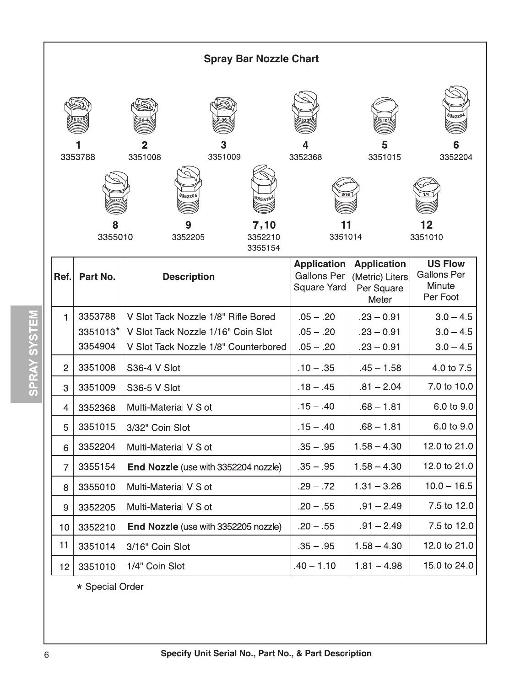<span id="page-5-0"></span>

|                 | <b>Spray Bar Nozzle Chart</b> |                                                     |                                          |                                        |                                          |  |  |  |  |  |
|-----------------|-------------------------------|-----------------------------------------------------|------------------------------------------|----------------------------------------|------------------------------------------|--|--|--|--|--|
|                 | 3353788<br>8                  | 3<br>3351009<br>3351008<br>335220<br>335515<br>7,10 | 3352368<br>3/16                          | 5<br>3351015                           | 335220<br>6<br>3352204<br>12<br>3351010  |  |  |  |  |  |
|                 | 3355010                       | 3352210<br>3352205<br>3355154                       | 3351014<br><b>Application</b>            | <b>Application</b>                     | <b>US Flow</b>                           |  |  |  |  |  |
| Ref.            | Part No.                      | <b>Description</b>                                  | <b>Gallons Per</b><br><b>Square Yard</b> | (Metric) Liters<br>Per Square<br>Meter | <b>Gallons Per</b><br>Minute<br>Per Foot |  |  |  |  |  |
| 1               | 3353788                       | V Slot Tack Nozzle 1/8" Rifle Bored                 | $.05 - .20$                              | $.23 - 0.91$                           | $3.0 - 4.5$                              |  |  |  |  |  |
|                 | 3351013*                      | V Slot Tack Nozzle 1/16" Coin Slot                  | $.05 - .20$                              | $.23 - 0.91$                           | $3.0 - 4.5$                              |  |  |  |  |  |
|                 | 3354904                       | V Slot Tack Nozzle 1/8" Counterbored                | $.05 - .20$                              | $.23 - 0.91$                           | $3.0 - 4.5$                              |  |  |  |  |  |
| $\overline{c}$  | 3351008                       | S36-4 V Slot                                        | $.10 - .35$                              | $.45 - 1.58$                           | 4.0 to 7.5                               |  |  |  |  |  |
| 3               | 3351009                       | S36-5 V Slot                                        | $.18 - .45$                              | $.81 - 2.04$                           | 7.0 to 10.0                              |  |  |  |  |  |
| $\overline{4}$  | 3352368                       | Multi-Material V Slot                               | $.15 - .40$                              | $.68 - 1.81$                           | 6.0 to 9.0                               |  |  |  |  |  |
| 5               | 3351015                       | 3/32" Coin Slot                                     | $.15 - .40$                              | .68 – 1.81                             | 6.0 to 9.0                               |  |  |  |  |  |
| 6               | 3352204                       | Multi-Material V Slot                               | $.35 - .95$                              | $1.58 - 4.30$                          | 12.0 to 21.0                             |  |  |  |  |  |
| $\overline{7}$  | 3355154                       | End Nozzle (use with 3352204 nozzle)                | $.35 - .95$                              | $1.58 - 4.30$                          | 12.0 to 21.0                             |  |  |  |  |  |
| 8               | 3355010                       | Multi-Material V Slot                               | $.29 - .72$                              | $1.31 - 3.26$                          | $10.0 - 16.5$                            |  |  |  |  |  |
| 9               | 3352205                       | Multi-Material V Slot                               | $.20 - .55$                              | $.91 - 2.49$                           | 7.5 to 12.0                              |  |  |  |  |  |
| 10              | 3352210                       | End Nozzle (use with 3352205 nozzle)                | $.20 - .55$                              | $.91 - 2.49$                           | 7.5 to 12.0                              |  |  |  |  |  |
| 11              | 3351014                       | 3/16" Coin Slot                                     | $.35 - .95$                              | $1.58 - 4.30$                          | 12.0 to 21.0                             |  |  |  |  |  |
| 12 <sub>2</sub> | 3351010                       | 1/4" Coin Slot                                      | $.40 - 1.10$                             | $1.81 - 4.98$                          | 15.0 to 24.0                             |  |  |  |  |  |

\* Special Order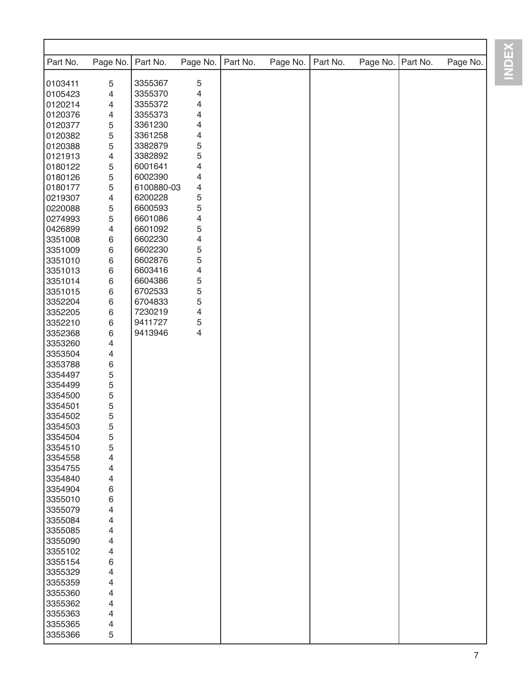| Part No. | Page No.       | Part No.   | Page No.                | Part No. | Page No. | Part No. | Page No. | Part No. | Page No. |
|----------|----------------|------------|-------------------------|----------|----------|----------|----------|----------|----------|
| 0103411  | $\mathbf 5$    | 3355367    | $\mathbf 5$             |          |          |          |          |          |          |
| 0105423  | $\overline{4}$ | 3355370    | $\overline{\mathbf{4}}$ |          |          |          |          |          |          |
| 0120214  | $\overline{4}$ | 3355372    | 4                       |          |          |          |          |          |          |
| 0120376  |                | 3355373    | 4                       |          |          |          |          |          |          |
|          | $\overline{4}$ | 3361230    |                         |          |          |          |          |          |          |
| 0120377  | $\mathbf 5$    |            | 4                       |          |          |          |          |          |          |
| 0120382  | $\sqrt{5}$     | 3361258    | 4                       |          |          |          |          |          |          |
| 0120388  | $\mathbf 5$    | 3382879    | 5                       |          |          |          |          |          |          |
| 0121913  | $\overline{4}$ | 3382892    | 5                       |          |          |          |          |          |          |
| 0180122  | $\mathbf 5$    | 6001641    | 4                       |          |          |          |          |          |          |
| 0180126  | $\sqrt{5}$     | 6002390    | 4                       |          |          |          |          |          |          |
| 0180177  | $\mathbf 5$    | 6100880-03 | 4                       |          |          |          |          |          |          |
| 0219307  | $\overline{4}$ | 6200228    | 5                       |          |          |          |          |          |          |
| 0220088  | $\mathbf 5$    | 6600593    | 5                       |          |          |          |          |          |          |
| 0274993  | $\overline{5}$ | 6601086    | 4                       |          |          |          |          |          |          |
| 0426899  | $\overline{4}$ | 6601092    | 5                       |          |          |          |          |          |          |
| 3351008  | $\,6\,$        | 6602230    | 4                       |          |          |          |          |          |          |
| 3351009  | $\,6\,$        | 6602230    | 5                       |          |          |          |          |          |          |
| 3351010  | $\,6\,$        | 6602876    | 5                       |          |          |          |          |          |          |
| 3351013  | $\,6\,$        | 6603416    | 4                       |          |          |          |          |          |          |
| 3351014  | $\,6\,$        | 6604386    | 5                       |          |          |          |          |          |          |
| 3351015  | $\,6\,$        | 6702533    | 5                       |          |          |          |          |          |          |
| 3352204  | $\,6\,$        | 6704833    | 5                       |          |          |          |          |          |          |
| 3352205  | $\,6\,$        | 7230219    | $\overline{\mathbf{4}}$ |          |          |          |          |          |          |
| 3352210  | $\,6\,$        | 9411727    | $\mathbf 5$             |          |          |          |          |          |          |
| 3352368  | $\,6\,$        | 9413946    | $\overline{4}$          |          |          |          |          |          |          |
| 3353260  | $\overline{4}$ |            |                         |          |          |          |          |          |          |
| 3353504  | $\overline{4}$ |            |                         |          |          |          |          |          |          |
| 3353788  | $\,6\,$        |            |                         |          |          |          |          |          |          |
| 3354497  | 5              |            |                         |          |          |          |          |          |          |
| 3354499  | 5              |            |                         |          |          |          |          |          |          |
| 3354500  | $\mathbf 5$    |            |                         |          |          |          |          |          |          |
| 3354501  | 5              |            |                         |          |          |          |          |          |          |
| 3354502  | 5              |            |                         |          |          |          |          |          |          |
|          | 5              |            |                         |          |          |          |          |          |          |
| 3354503  |                |            |                         |          |          |          |          |          |          |
| 3354504  | 5              |            |                         |          |          |          |          |          |          |
| 3354510  | 5              |            |                         |          |          |          |          |          |          |
| 3354558  | 4              |            |                         |          |          |          |          |          |          |
| 3354755  | 4              |            |                         |          |          |          |          |          |          |
| 3354840  | 4              |            |                         |          |          |          |          |          |          |
| 3354904  | 6              |            |                         |          |          |          |          |          |          |
| 3355010  | 6              |            |                         |          |          |          |          |          |          |
| 3355079  | 4              |            |                         |          |          |          |          |          |          |
| 3355084  | 4              |            |                         |          |          |          |          |          |          |
| 3355085  | 4              |            |                         |          |          |          |          |          |          |
| 3355090  | 4              |            |                         |          |          |          |          |          |          |
| 3355102  | 4              |            |                         |          |          |          |          |          |          |
| 3355154  | 6              |            |                         |          |          |          |          |          |          |
| 3355329  | 4              |            |                         |          |          |          |          |          |          |
| 3355359  | 4              |            |                         |          |          |          |          |          |          |
| 3355360  | 4              |            |                         |          |          |          |          |          |          |
| 3355362  | 4              |            |                         |          |          |          |          |          |          |
| 3355363  | 4              |            |                         |          |          |          |          |          |          |
| 3355365  | 4              |            |                         |          |          |          |          |          |          |
| 3355366  | 5              |            |                         |          |          |          |          |          |          |

**INDEX**